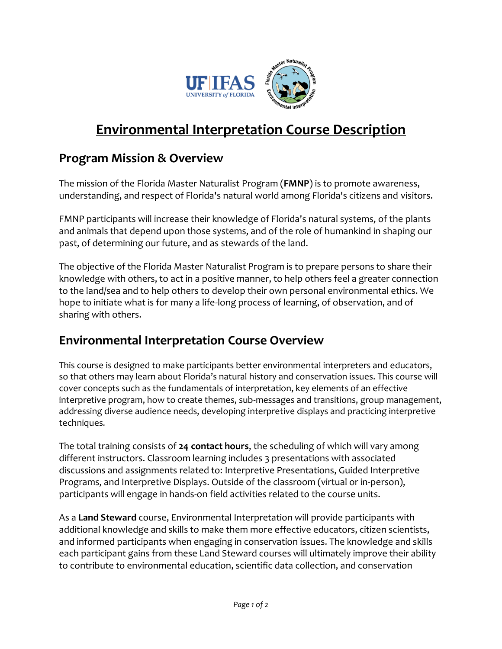

## **Environmental Interpretation Course Description**

## **Program Mission & Overview**

The mission of the Florida Master Naturalist Program (**FMNP**) is to promote awareness, understanding, and respect of Florida's natural world among Florida's citizens and visitors.

FMNP participants will increase their knowledge of Florida's natural systems, of the plants and animals that depend upon those systems, and of the role of humankind in shaping our past, of determining our future, and as stewards of the land.

The objective of the Florida Master Naturalist Program is to prepare persons to share their knowledge with others, to act in a positive manner, to help others feel a greater connection to the land/sea and to help others to develop their own personal environmental ethics. We hope to initiate what is for many a life-long process of learning, of observation, and of sharing with others.

## **Environmental Interpretation Course Overview**

This course is designed to make participants better environmental interpreters and educators, so that others may learn about Florida's natural history and conservation issues. This course will cover concepts such as the fundamentals of interpretation, key elements of an effective interpretive program, how to create themes, sub-messages and transitions, group management, addressing diverse audience needs, developing interpretive displays and practicing interpretive techniques.

The total training consists of **24 contact hours**, the scheduling of which will vary among different instructors. Classroom learning includes 3 presentations with associated discussions and assignments related to: Interpretive Presentations, Guided Interpretive Programs, and Interpretive Displays. Outside of the classroom (virtual or in-person), participants will engage in hands-on field activities related to the course units.

As a **Land Steward** course, Environmental Interpretation will provide participants with additional knowledge and skills to make them more effective educators, citizen scientists, and informed participants when engaging in conservation issues. The knowledge and skills each participant gains from these Land Steward courses will ultimately improve their ability to contribute to environmental education, scientific data collection, and conservation